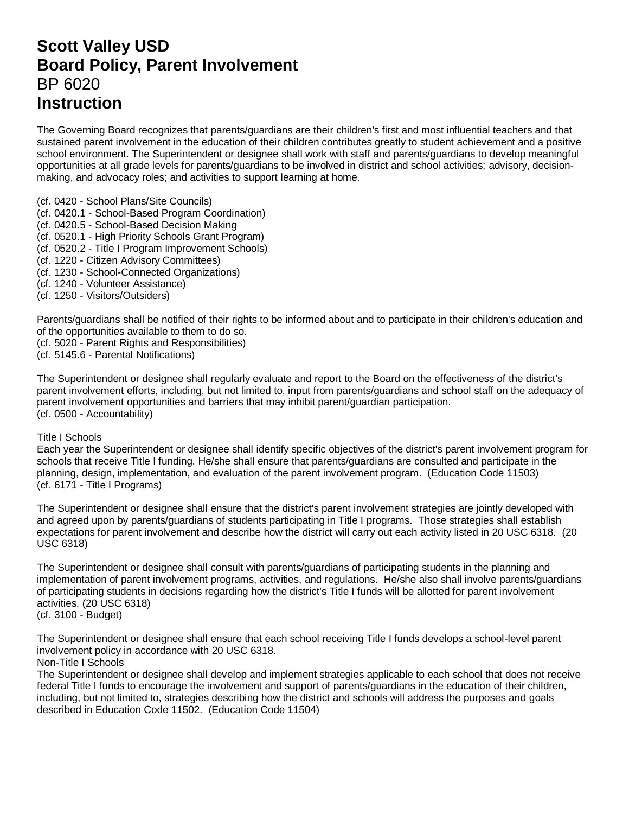## **Scott Valley USD Board Policy, Parent Involvement** BP 6020 **Instruction**

The Governing Board recognizes that parents/guardians are their children's first and most influential teachers and that sustained parent involvement in the education of their children contributes greatly to student achievement and a positive school environment. The Superintendent or designee shall work with staff and parents/guardians to develop meaningful opportunities at all grade levels for parents/guardians to be involved in district and school activities; advisory, decisionmaking, and advocacy roles; and activities to support learning at home.

- (cf. 0420 School Plans/Site Councils)
- (cf. 0420.1 School-Based Program Coordination)
- (cf. 0420.5 School-Based Decision Making
- (cf. 0520.1 High Priority Schools Grant Program)
- (cf. 0520.2 Title I Program Improvement Schools)
- (cf. 1220 Citizen Advisory Committees)
- (cf. 1230 School-Connected Organizations)
- (cf. 1240 Volunteer Assistance)
- (cf. 1250 Visitors/Outsiders)

Parents/guardians shall be notified of their rights to be informed about and to participate in their children's education and of the opportunities available to them to do so.

(cf. 5020 - Parent Rights and Responsibilities)

(cf. 5145.6 - Parental Notifications)

The Superintendent or designee shall regularly evaluate and report to the Board on the effectiveness of the district's parent involvement efforts, including, but not limited to, input from parents/guardians and school staff on the adequacy of parent involvement opportunities and barriers that may inhibit parent/guardian participation. (cf. 0500 - Accountability)

## Title I Schools

Each year the Superintendent or designee shall identify specific objectives of the district's parent involvement program for schools that receive Title I funding. He/she shall ensure that parents/guardians are consulted and participate in the planning, design, implementation, and evaluation of the parent involvement program. (Education Code 11503) (cf. 6171 - Title I Programs)

The Superintendent or designee shall ensure that the district's parent involvement strategies are jointly developed with and agreed upon by parents/guardians of students participating in Title I programs. Those strategies shall establish expectations for parent involvement and describe how the district will carry out each activity listed in 20 USC 6318. (20 USC 6318)

The Superintendent or designee shall consult with parents/guardians of participating students in the planning and implementation of parent involvement programs, activities, and regulations. He/she also shall involve parents/guardians of participating students in decisions regarding how the district's Title I funds will be allotted for parent involvement activities. (20 USC 6318) (cf. 3100 - Budget)

The Superintendent or designee shall ensure that each school receiving Title I funds develops a school-level parent involvement policy in accordance with 20 USC 6318.

Non-Title I Schools

The Superintendent or designee shall develop and implement strategies applicable to each school that does not receive federal Title I funds to encourage the involvement and support of parents/guardians in the education of their children, including, but not limited to, strategies describing how the district and schools will address the purposes and goals described in Education Code 11502. (Education Code 11504)